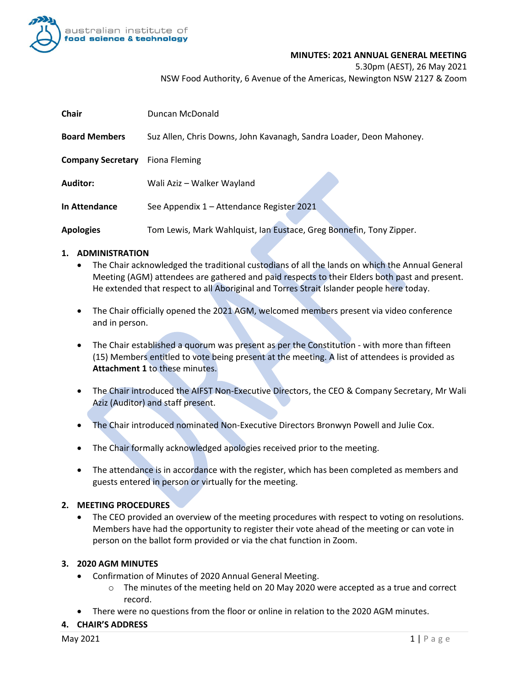

#### **MINUTES: 2021 ANNUAL GENERAL MEETING**

5.30pm (AEST), 26 May 2021

NSW Food Authority, 6 Avenue of the Americas, Newington NSW 2127 & Zoom

| <b>Chair</b>             | Duncan McDonald                                                     |
|--------------------------|---------------------------------------------------------------------|
| <b>Board Members</b>     | Suz Allen, Chris Downs, John Kavanagh, Sandra Loader, Deon Mahoney. |
| <b>Company Secretary</b> | Fiona Fleming                                                       |
| <b>Auditor:</b>          | Wali Aziz – Walker Wayland                                          |
| In Attendance            | See Appendix 1 - Attendance Register 2021                           |
| <b>Apologies</b>         | Tom Lewis, Mark Wahlquist, Ian Eustace, Greg Bonnefin, Tony Zipper. |

## **1. ADMINISTRATION**

- The Chair acknowledged the traditional custodians of all the lands on which the Annual General Meeting (AGM) attendees are gathered and paid respects to their Elders both past and present. He extended that respect to all Aboriginal and Torres Strait Islander people here today.
- The Chair officially opened the 2021 AGM, welcomed members present via video conference and in person.
- The Chair established a quorum was present as per the Constitution with more than fifteen (15) Members entitled to vote being present at the meeting. A list of attendees is provided as **Attachment 1** to these minutes.
- The Chair introduced the AIFST Non-Executive Directors, the CEO & Company Secretary, Mr Wali Aziz (Auditor) and staff present.
- The Chair introduced nominated Non-Executive Directors Bronwyn Powell and Julie Cox.
- The Chair formally acknowledged apologies received prior to the meeting.
- The attendance is in accordance with the register, which has been completed as members and guests entered in person or virtually for the meeting.

# **2. MEETING PROCEDURES**

• The CEO provided an overview of the meeting procedures with respect to voting on resolutions. Members have had the opportunity to register their vote ahead of the meeting or can vote in person on the ballot form provided or via the chat function in Zoom.

# **3. 2020 AGM MINUTES**

- Confirmation of Minutes of 2020 Annual General Meeting.
	- $\circ$  The minutes of the meeting held on 20 May 2020 were accepted as a true and correct record.
- There were no questions from the floor or online in relation to the 2020 AGM minutes.

## **4. CHAIR'S ADDRESS**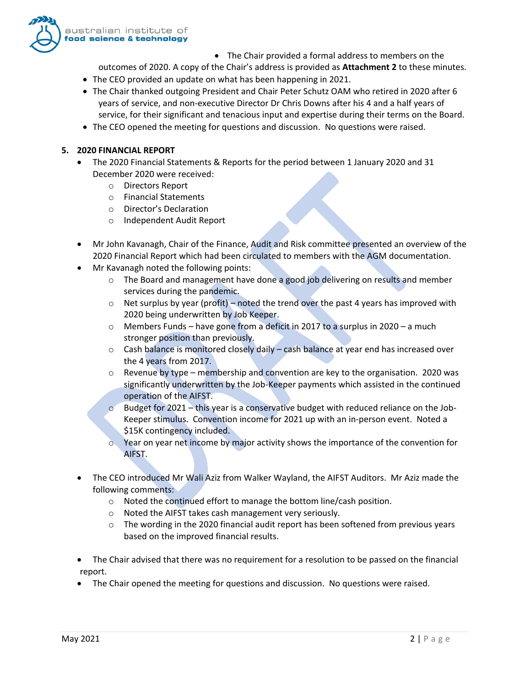

• The Chair provided a formal address to members on the

outcomes of 2020. A copy of the Chair's address is provided as **Attachment 2** to these minutes.

- The CEO provided an update on what has been happening in 2021.
- The Chair thanked outgoing President and Chair Peter Schutz OAM who retired in 2020 after 6 years of service, and non-executive Director Dr Chris Downs after his 4 and a half years of service, for their significant and tenacious input and expertise during their terms on the Board.
- The CEO opened the meeting for questions and discussion. No questions were raised.

## **5. 2020 FINANCIAL REPORT**

- The 2020 Financial Statements & Reports for the period between 1 January 2020 and 31 December 2020 were received:
	- o Directors Report
	- o Financial Statements
	- o Director's Declaration
	- o Independent Audit Report
- Mr John Kavanagh, Chair of the Finance, Audit and Risk committee presented an overview of the 2020 Financial Report which had been circulated to members with the AGM documentation.
- Mr Kavanagh noted the following points:
	- o The Board and management have done a good job delivering on results and member services during the pandemic.
	- $\circ$  Net surplus by year (profit) noted the trend over the past 4 years has improved with 2020 being underwritten by Job Keeper.
	- o Members Funds have gone from a deficit in 2017 to a surplus in 2020 a much stronger position than previously.
	- $\circ$  Cash balance is monitored closely daily cash balance at year end has increased over the 4 years from 2017.
	- $\circ$  Revenue by type membership and convention are key to the organisation. 2020 was significantly underwritten by the Job-Keeper payments which assisted in the continued operation of the AIFST.
	- $\circ$  Budget for 2021 this year is a conservative budget with reduced reliance on the Job-Keeper stimulus. Convention income for 2021 up with an in-person event. Noted a \$15K contingency included.
	- o Year on year net income by major activity shows the importance of the convention for AIFST.
- The CEO introduced Mr Wali Aziz from Walker Wayland, the AIFST Auditors. Mr Aziz made the following comments:
	- o Noted the continued effort to manage the bottom line/cash position.
	- o Noted the AIFST takes cash management very seriously.
	- $\circ$  The wording in the 2020 financial audit report has been softened from previous years based on the improved financial results.
- The Chair advised that there was no requirement for a resolution to be passed on the financial report.
- The Chair opened the meeting for questions and discussion. No questions were raised.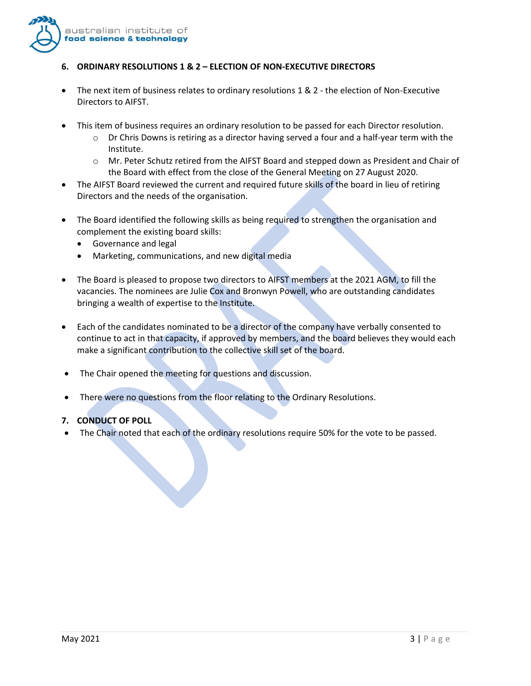

## **6. ORDINARY RESOLUTIONS 1 & 2 – ELECTION OF NON-EXECUTIVE DIRECTORS**

- The next item of business relates to ordinary resolutions 1 & 2 the election of Non-Executive Directors to AIFST.
- This item of business requires an ordinary resolution to be passed for each Director resolution.
	- $\circ$  Dr Chris Downs is retiring as a director having served a four and a half-year term with the Institute.
	- o Mr. Peter Schutz retired from the AIFST Board and stepped down as President and Chair of the Board with effect from the close of the General Meeting on 27 August 2020.
- The AIFST Board reviewed the current and required future skills of the board in lieu of retiring Directors and the needs of the organisation.
- The Board identified the following skills as being required to strengthen the organisation and complement the existing board skills:
	- Governance and legal
	- Marketing, communications, and new digital media
- The Board is pleased to propose two directors to AIFST members at the 2021 AGM, to fill the vacancies. The nominees are Julie Cox and Bronwyn Powell, who are outstanding candidates bringing a wealth of expertise to the Institute.
- Each of the candidates nominated to be a director of the company have verbally consented to continue to act in that capacity, if approved by members, and the board believes they would each make a significant contribution to the collective skill set of the board.
- The Chair opened the meeting for questions and discussion.
- There were no questions from the floor relating to the Ordinary Resolutions.

# **7. CONDUCT OF POLL**

• The Chair noted that each of the ordinary resolutions require 50% for the vote to be passed.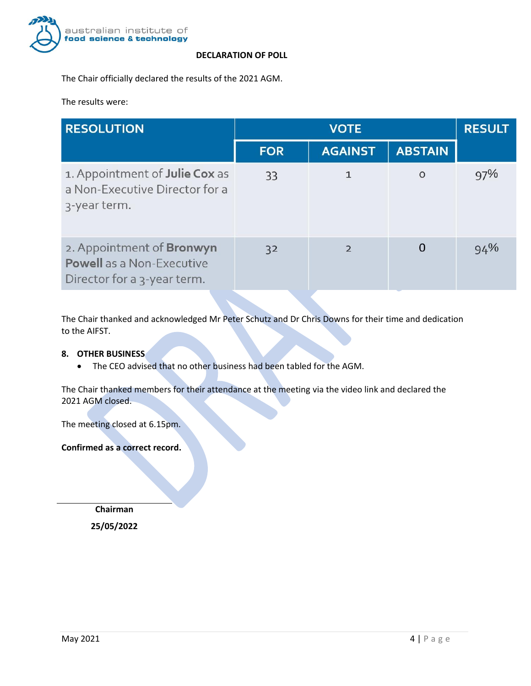

#### **DECLARATION OF POLL**

The Chair officially declared the results of the 2021 AGM.

The results were:

| <b>RESOLUTION</b>                                                                            |            | <b>RESULT</b>  |                |     |
|----------------------------------------------------------------------------------------------|------------|----------------|----------------|-----|
|                                                                                              | <b>FOR</b> | <b>AGAINST</b> | <b>ABSTAIN</b> |     |
| 1. Appointment of Julie Cox as<br>a Non-Executive Director for a<br>3-year term.             | 33         |                | $\Omega$       | 97% |
| 2. Appointment of Bronwyn<br><b>Powell</b> as a Non-Executive<br>Director for a 3-year term. | 32         | $\overline{2}$ | 0              | 94% |

The Chair thanked and acknowledged Mr Peter Schutz and Dr Chris Downs for their time and dedication to the AIFST.

## **8. OTHER BUSINESS**

• The CEO advised that no other business had been tabled for the AGM.

The Chair thanked members for their attendance at the meeting via the video link and declared the 2021 AGM closed.

The meeting closed at 6.15pm.

**Confirmed as a correct record.**

**Chairman 25/05/2022**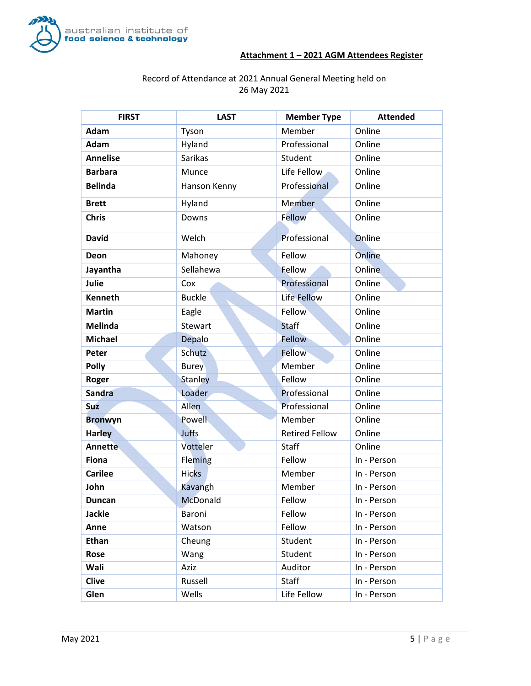

## **Attachment 1 – 2021 AGM Attendees Register**

# Record of Attendance at 2021 Annual General Meeting held on 26 May 2021

| <b>FIRST</b>    | <b>LAST</b>    | <b>Member Type</b>    | <b>Attended</b> |
|-----------------|----------------|-----------------------|-----------------|
| Adam            | Tyson          | Member                | Online          |
| Adam            | Hyland         | Professional          | Online          |
| <b>Annelise</b> | <b>Sarikas</b> | Student               | Online          |
| <b>Barbara</b>  | Munce          | Life Fellow           | Online          |
| <b>Belinda</b>  | Hanson Kenny   | Professional          | Online          |
| <b>Brett</b>    | Hyland         | <b>Member</b>         | Online          |
| <b>Chris</b>    | Downs          | Fellow                | Online          |
| <b>David</b>    | Welch          | Professional          | Online          |
| Deon            | Mahoney        | Fellow                | Online          |
| Jayantha        | Sellahewa      | Fellow                | Online          |
| Julie           | Cox            | Professional          | Online          |
| <b>Kenneth</b>  | <b>Buckle</b>  | Life Fellow           | Online          |
| <b>Martin</b>   | Eagle          | Fellow                | Online          |
| <b>Melinda</b>  | Stewart        | <b>Staff</b>          | Online          |
| <b>Michael</b>  | Depalo         | Fellow                | Online          |
| Peter           | Schutz         | <b>Fellow</b>         | Online          |
| <b>Polly</b>    | <b>Burey</b>   | Member                | Online          |
| Roger           | <b>Stanley</b> | Fellow                | Online          |
| Sandra          | Loader         | Professional          | Online          |
| <b>Suz</b>      | Allen          | Professional          | Online          |
| <b>Bronwyn</b>  | Powell         | Member                | Online          |
| <b>Harley</b>   | Juffs          | <b>Retired Fellow</b> | Online          |
| <b>Annette</b>  | Votteler       | Staff                 | Online          |
| <b>Fiona</b>    | Fleming        | Fellow                | In - Person     |
| <b>Carilee</b>  | <b>Hicks</b>   | Member                | In - Person     |
| John            | Kavangh        | Member                | In - Person     |
| <b>Duncan</b>   | McDonald       | Fellow                | In - Person     |
| <b>Jackie</b>   | Baroni         | Fellow                | In - Person     |
| Anne            | Watson         | Fellow                | In - Person     |
| <b>Ethan</b>    | Cheung         | Student               | In - Person     |
| Rose            | Wang           | Student               | In - Person     |
| Wali            | Aziz           | Auditor               | In - Person     |
| <b>Clive</b>    | Russell        | <b>Staff</b>          | In - Person     |
| Glen            | Wells          | Life Fellow           | In - Person     |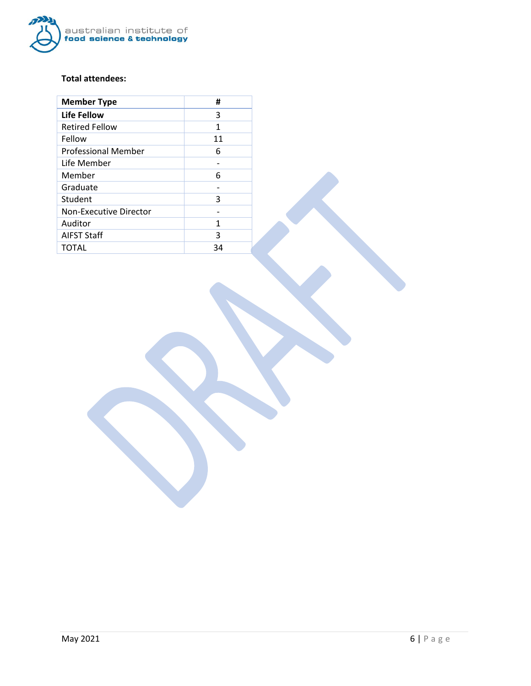

# **Total attendees:**

| <b>Member Type</b>         | #  |
|----------------------------|----|
| Life Fellow                | 3  |
| <b>Retired Fellow</b>      | 1  |
| Fellow                     | 11 |
| <b>Professional Member</b> | 6  |
| Life Member                |    |
| Member                     | 6  |
| Graduate                   |    |
| Student                    | 3  |
| Non-Executive Director     |    |
| Auditor                    | 1  |
| <b>AIFST Staff</b>         | 3  |
| <b>TOTAL</b>               | 34 |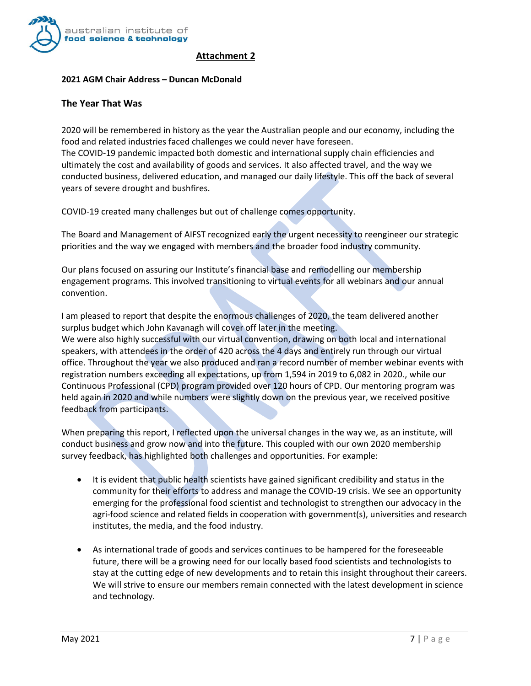

## **Attachment 2**

#### **2021 AGM Chair Address – Duncan McDonald**

#### **The Year That Was**

2020 will be remembered in history as the year the Australian people and our economy, including the food and related industries faced challenges we could never have foreseen. The COVID-19 pandemic impacted both domestic and international supply chain efficiencies and ultimately the cost and availability of goods and services. It also affected travel, and the way we conducted business, delivered education, and managed our daily lifestyle. This off the back of several years of severe drought and bushfires.

COVID-19 created many challenges but out of challenge comes opportunity.

The Board and Management of AIFST recognized early the urgent necessity to reengineer our strategic priorities and the way we engaged with members and the broader food industry community.

Our plans focused on assuring our Institute's financial base and remodelling our membership engagement programs. This involved transitioning to virtual events for all webinars and our annual convention.

I am pleased to report that despite the enormous challenges of 2020, the team delivered another surplus budget which John Kavanagh will cover off later in the meeting. We were also highly successful with our virtual convention, drawing on both local and international speakers, with attendees in the order of 420 across the 4 days and entirely run through our virtual office. Throughout the year we also produced and ran a record number of member webinar events with registration numbers exceeding all expectations, up from 1,594 in 2019 to 6,082 in 2020., while our Continuous Professional (CPD) program provided over 120 hours of CPD. Our mentoring program was held again in 2020 and while numbers were slightly down on the previous year, we received positive feedback from participants.

When preparing this report, I reflected upon the universal changes in the way we, as an institute, will conduct business and grow now and into the future. This coupled with our own 2020 membership survey feedback, has highlighted both challenges and opportunities. For example:

- It is evident that public health scientists have gained significant credibility and status in the community for their efforts to address and manage the COVID-19 crisis. We see an opportunity emerging for the professional food scientist and technologist to strengthen our advocacy in the agri-food science and related fields in cooperation with government(s), universities and research institutes, the media, and the food industry.
- As international trade of goods and services continues to be hampered for the foreseeable future, there will be a growing need for our locally based food scientists and technologists to stay at the cutting edge of new developments and to retain this insight throughout their careers. We will strive to ensure our members remain connected with the latest development in science and technology.